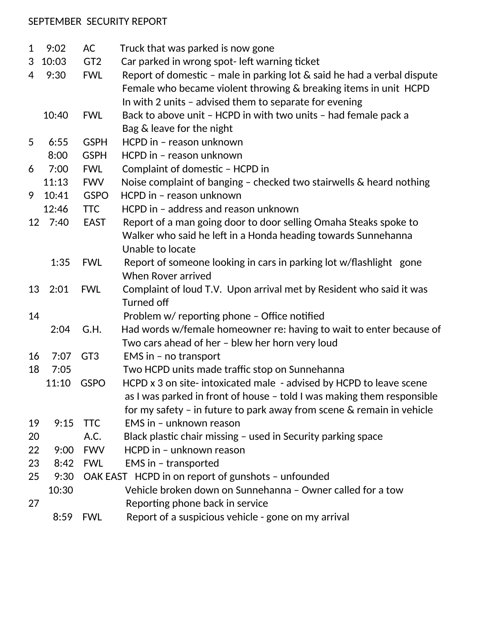## SEPTEMBER SECURITY REPORT

| $\mathbf{1}$   | 9:02    | AC              | Truck that was parked is now gone                                          |
|----------------|---------|-----------------|----------------------------------------------------------------------------|
| 3              | 10:03   | GT <sub>2</sub> | Car parked in wrong spot- left warning ticket                              |
| $\overline{4}$ | 9:30    | <b>FWL</b>      | Report of domestic - male in parking lot $\&$ said he had a verbal dispute |
|                |         |                 | Female who became violent throwing & breaking items in unit HCPD           |
|                |         |                 | In with 2 units - advised them to separate for evening                     |
|                | 10:40   | <b>FWL</b>      | Back to above unit - HCPD in with two units - had female pack a            |
|                |         |                 | Bag & leave for the night                                                  |
| 5              | 6:55    | <b>GSPH</b>     | HCPD in - reason unknown                                                   |
|                | 8:00    | <b>GSPH</b>     | HCPD in - reason unknown                                                   |
| 6              | 7:00    | <b>FWL</b>      | Complaint of domestic - HCPD in                                            |
|                | 11:13   | <b>FWV</b>      | Noise complaint of banging - checked two stairwells & heard nothing        |
| 9              | 10:41   | <b>GSPO</b>     | HCPD in - reason unknown                                                   |
|                | 12:46   | <b>TTC</b>      | HCPD in - address and reason unknown                                       |
|                | 12 7:40 | <b>EAST</b>     | Report of a man going door to door selling Omaha Steaks spoke to           |
|                |         |                 | Walker who said he left in a Honda heading towards Sunnehanna              |
|                |         |                 | Unable to locate                                                           |
|                | 1:35    | <b>FWL</b>      | Report of someone looking in cars in parking lot w/flashlight gone         |
|                |         |                 | <b>When Rover arrived</b>                                                  |
| 13             | 2:01    | <b>FWL</b>      | Complaint of loud T.V. Upon arrival met by Resident who said it was        |
|                |         |                 | <b>Turned off</b>                                                          |
| 14             |         |                 | Problem w/ reporting phone - Office notified                               |
|                | 2:04    | G.H.            | Had words w/female homeowner re: having to wait to enter because of        |
|                |         |                 | Two cars ahead of her - blew her horn very loud                            |
| 16             | 7:07    | GT <sub>3</sub> | EMS in $-$ no transport                                                    |
| 18             | 7:05    |                 | Two HCPD units made traffic stop on Sunnehanna                             |
|                | 11:10   | <b>GSPO</b>     | HCPD x 3 on site-intoxicated male - advised by HCPD to leave scene         |
|                |         |                 | as I was parked in front of house - told I was making them responsible     |
|                |         |                 | for my safety - in future to park away from scene $\&$ remain in vehicle   |
| 19             | 9:15    | <b>TTC</b>      | EMS in - unknown reason                                                    |
| 20             |         | A.C.            | Black plastic chair missing - used in Security parking space               |
| 22             | 9:00    | <b>FWV</b>      | HCPD in - unknown reason                                                   |
| 23             | 8:42    | <b>FWL</b>      | EMS in - transported                                                       |
| 25             | 9:30    |                 | OAK EAST HCPD in on report of gunshots - unfounded                         |
|                | 10:30   |                 | Vehicle broken down on Sunnehanna - Owner called for a tow                 |
| 27             |         |                 | Reporting phone back in service                                            |
|                | 8:59    | <b>FWL</b>      | Report of a suspicious vehicle - gone on my arrival                        |